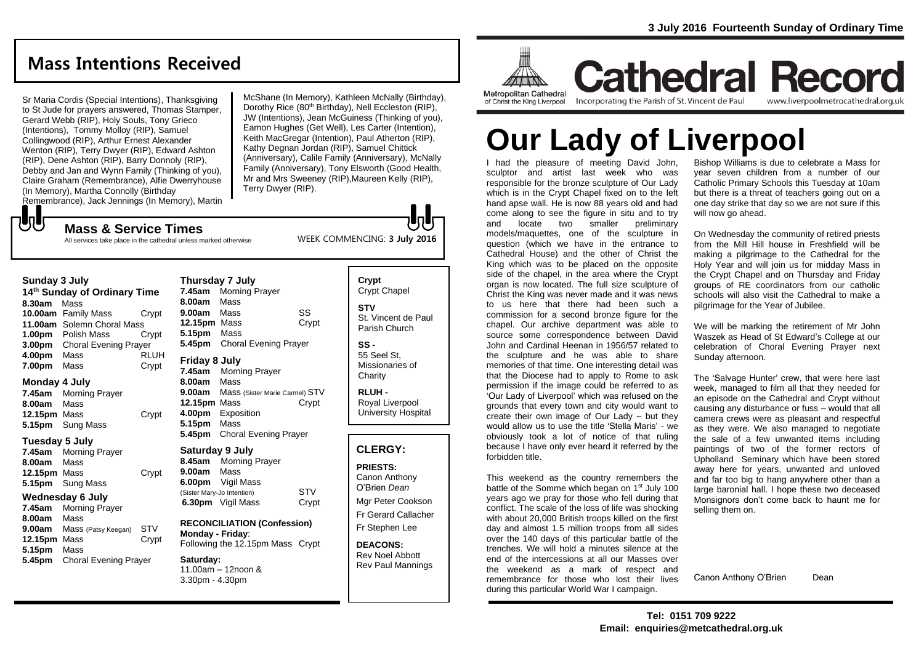## **Mass Intentions Received**

Sr Maria Cordis (Special Intentions), Thanksgiving to St Jude for prayers answered, Thomas Stamper, Gerard Webb (RIP), Holy Souls, Tony Grieco (Intentions), Tommy Molloy (RIP), Samuel Collingwood (RIP), Arthur Ernest Alexander Wenton (RIP), Terry Dwyer (RIP), Edward Ashton (RIP), Dene Ashton (RIP), Barry Donnoly (RIP), Debby and Jan and Wynn Family (Thinking of you), Claire Graham (Remembrance), Alfie Dwerryhouse (In Memory), Martha Connolly (Birthday Remembrance), Jack Jennings (In Memory), Martin

McShane (In Memory), Kathleen McNally (Birthday), Dorothy Rice (80<sup>th</sup> Birthday), Nell Eccleston (RIP), JW (Intentions), Jean McGuiness (Thinking of you), Eamon Hughes (Get Well), Les Carter (Intention), Keith MacGregar (Intention), Paul Atherton (RIP), Kathy Degnan Jordan (RIP), Samuel Chittick (Anniversary), Calile Family (Anniversary), McNally Family (Anniversary), Tony Elsworth (Good Health, Mr and Mrs Sweeney (RIP),Maureen Kelly (RIP), Terry Dwyer (RIP).

WEEK COMMENCING: **3 July 2016**

**Mass & Service Times** All services take place in the cathedral unless marked otherwise

#### **Sunday 3 July**

もし

**14th Sunday of Ordinary Time 8.30am** Mass **10.00am** Family Mass Crypt **11.00am** Solemn Choral Mass **1.00pm** Polish Mass Crypt **3.00pm** Choral Evening Prayer **4.00pm** Mass RLUH **7.00pm** Mass Crypt

#### **Monday 4 July**

**7.45am** Morning Prayer **8.00am** Mass **12.15pm** Mass Crypt **5.15pm** Sung Mass

#### **Tuesday 5 July**

**7.45am** Morning Prayer **8.00am** Mass **12.15pm** Mass Crypt **5.15pm** Sung Mass

#### **Wednesday 6 July**

**7.45am** Morning Prayer **8.00am** Mass **9.00am** Mass (Patsy Keegan) STV **12.15pm** Mass Crypt **5.15pm** Mass **5.45pm** Choral Evening Prayer

| Thursday 7 July |                                |       |
|-----------------|--------------------------------|-------|
| 7.45am          | <b>Morning Prayer</b>          |       |
| 8.00am          | Mass                           |       |
| 9.00am          | Mass                           | SS    |
| 12.15pm Mass    |                                | Crypt |
| 5.15pm          | Mass                           |       |
| 5.45pm          | <b>Choral Evening Prayer</b>   |       |
| Friday 8 July   |                                |       |
|                 |                                |       |
| 7.45am          | <b>Morning Prayer</b>          |       |
| 8.00am          | Mass                           |       |
| 9.00am          | Mass (Sister Marie Carmel) STV |       |
| 12.15pm Mass    |                                | Crypt |
| 4.00pm          | Exposition                     |       |
| 5.15pm          | Mass                           |       |

#### **Saturday 9 July**

**Thursday 7 July**

**8.45am** Morning Prayer **9.00am** Mass **6.00pm** Vigil Mass (Sister Mary-Jo Intention) STV **6.30pm** Vigil Mass Crypt

**RECONCILIATION (Confession) Monday - Friday**: Following the 12.15pm Mass Crypt

**Saturday:** 11.00am – 12noon & 3.30pm - 4.30pm

## **Crypt**  Crypt Chapel **STV** St. Vincent de Paul Parish Church

**SS -** 55 Seel St, Missionaries of **Charity** 

**RLUH -** Royal Liverpool University Hospital

### **CLERGY:**

**PRIESTS:** Canon Anthony

O'Brien *Dean* Mgr Peter Cookson Fr Gerard Callacher Fr Stephen Lee

**DEACONS:** Rev Noel Abbott Rev Paul Mannings



**Cathedral Record** Incorporating the Parish of St. Vincent de Paul

www.liverpoolmetrocathedral.org.uk

# **Our Lady of Liverpool**

I had the pleasure of meeting David John, sculptor and artist last week who was responsible for the bronze sculpture of Our Lady which is in the Crypt Chapel fixed on to the left hand apse wall. He is now 88 years old and had come along to see the figure in situ and to try and locate two smaller preliminary models/maquettes, one of the sculpture in question (which we have in the entrance to Cathedral House) and the other of Christ the King which was to be placed on the opposite side of the chapel, in the area where the Crypt organ is now located. The full size sculpture of Christ the King was never made and it was news to us here that there had been such a commission for a second bronze figure for the chapel. Our archive department was able to source some correspondence between David John and Cardinal Heenan in 1956/57 related to the sculpture and he was able to share memories of that time. One interesting detail was that the Diocese had to apply to Rome to ask permission if the image could be referred to as 'Our Lady of Liverpool' which was refused on the grounds that every town and city would want to create their own image of Our Lady – but they would allow us to use the title 'Stella Maris' - we obviously took a lot of notice of that ruling because I have only ever heard it referred by the forbidden title.

This weekend as the country remembers the battle of the Somme which began on 1<sup>st</sup> July 100 years ago we pray for those who fell during that conflict. The scale of the loss of life was shocking with about 20,000 British troops killed on the first day and almost 1.5 million troops from all sides over the 140 days of this particular battle of the trenches. We will hold a minutes silence at the end of the intercessions at all our Masses over the weekend as a mark of respect and remembrance for those who lost their lives during this particular World War I campaign.

Bishop Williams is due to celebrate a Mass for year seven children from a number of our Catholic Primary Schools this Tuesday at 10am but there is a threat of teachers going out on a one day strike that day so we are not sure if this will now go ahead.

On Wednesday the community of retired priests from the Mill Hill house in Freshfield will be making a pilgrimage to the Cathedral for the Holy Year and will join us for midday Mass in the Crypt Chapel and on Thursday and Friday groups of RE coordinators from our catholic schools will also visit the Cathedral to make a pilgrimage for the Year of Jubilee.

We will be marking the retirement of Mr John Waszek as Head of St Edward's College at our celebration of Choral Evening Prayer next Sunday afternoon.

The 'Salvage Hunter' crew, that were here last week, managed to film all that they needed for an episode on the Cathedral and Crypt without causing any disturbance or fuss – would that all camera crews were as pleasant and respectful as they were. We also managed to negotiate the sale of a few unwanted items including paintings of two of the former rectors of Upholland Seminary which have been stored away here for years, unwanted and unloved and far too big to hang anywhere other than a large baronial hall. I hope these two deceased Monsignors don't come back to haunt me for selling them on.

Canon Anthony O'Brien Dean